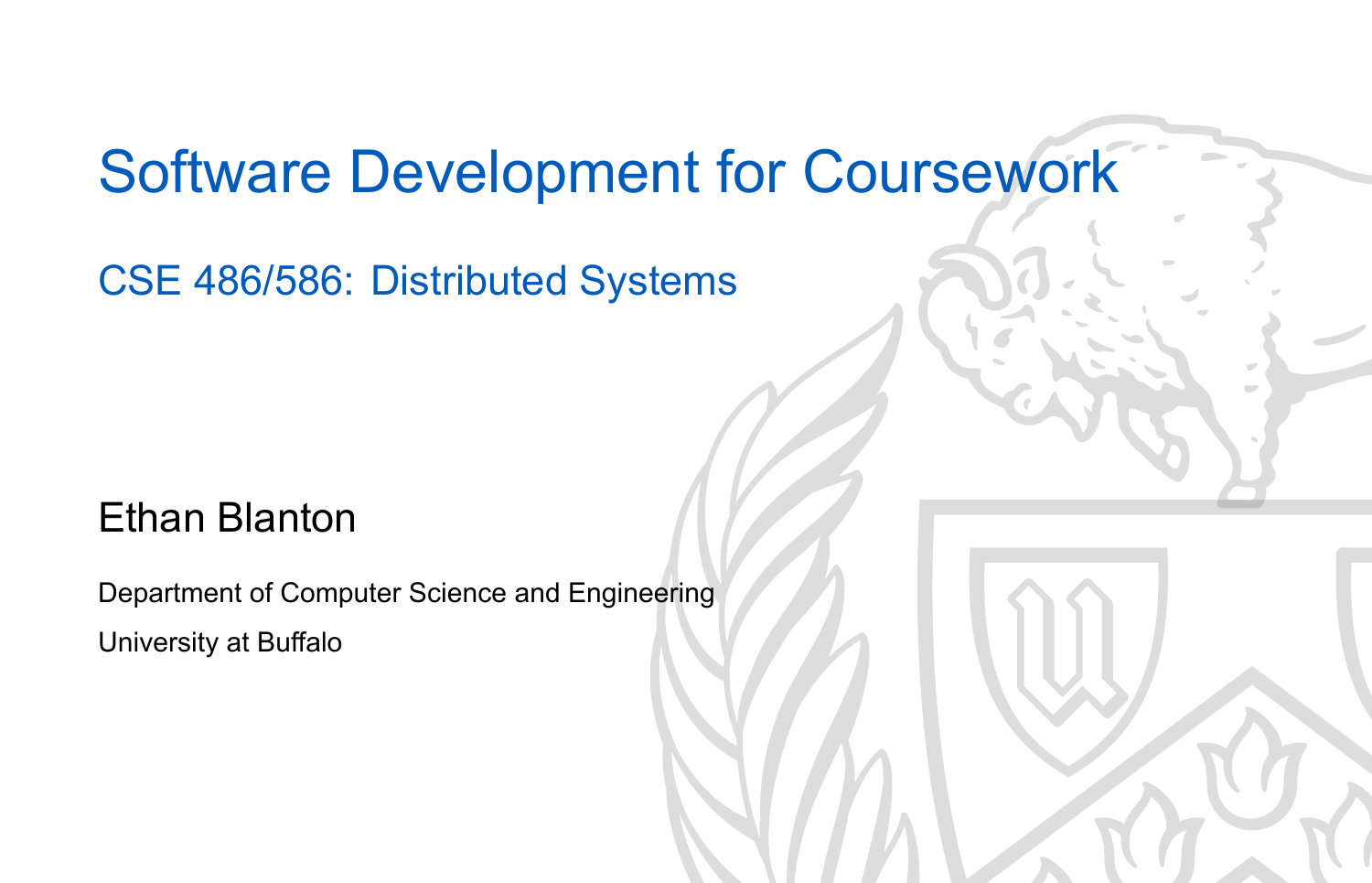## Software Development for Coursework

CSE 486/586: Distributed Systems

### Ethan Blanton

Department of Computer Science and Engineering University at Buffalo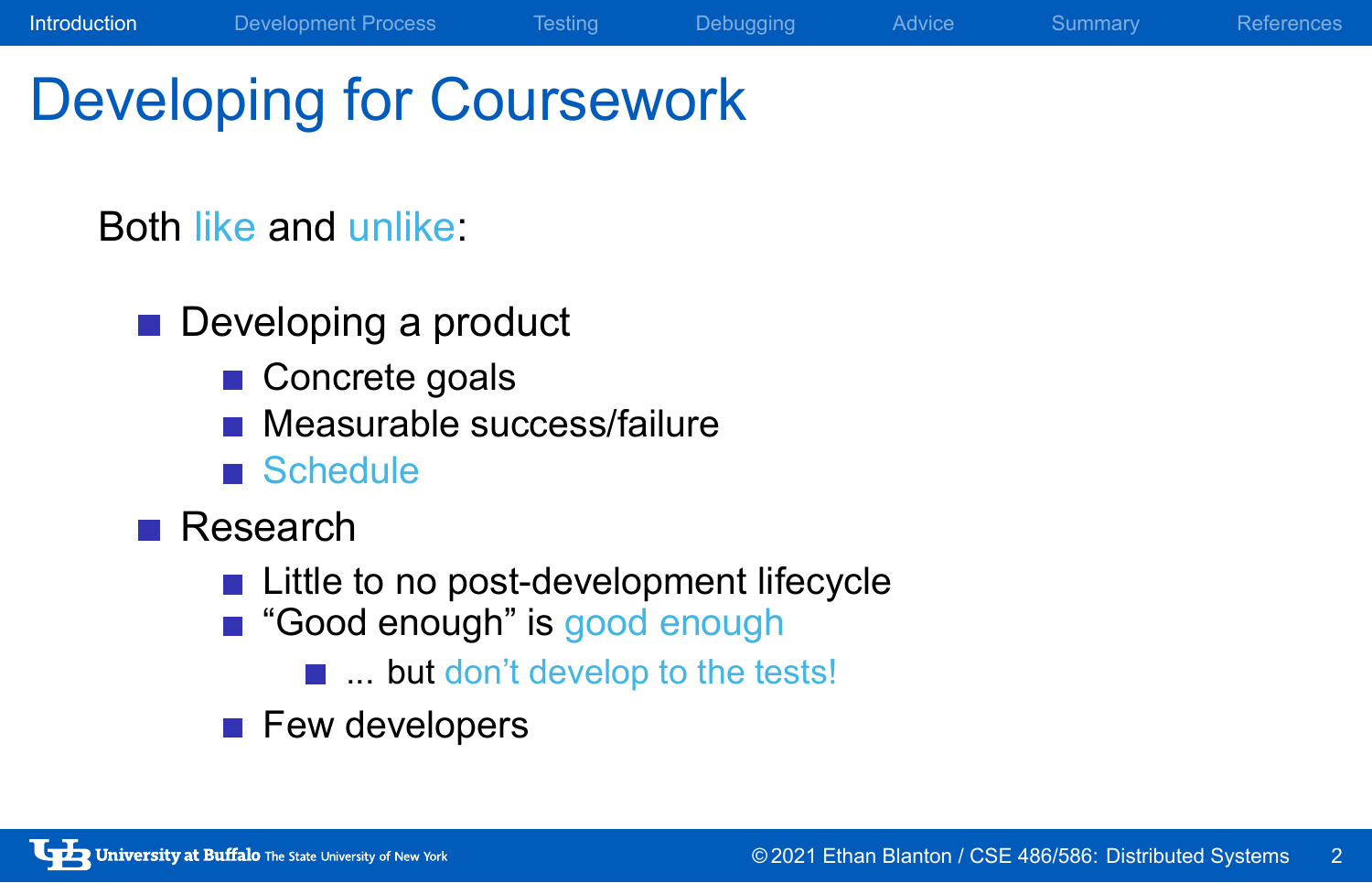# Developing for Coursework

### Both like and unlike:

- Developing a product
	- Concrete goals
	- **Measurable success/failure**
	- Schedule
- Research
	- **Little to no post-development lifecycle**

Introduction Development Process Testing Debugging Advice Summary References

- Good enough" is good enough
	- ... but don't develop to the tests!
- **Few developers**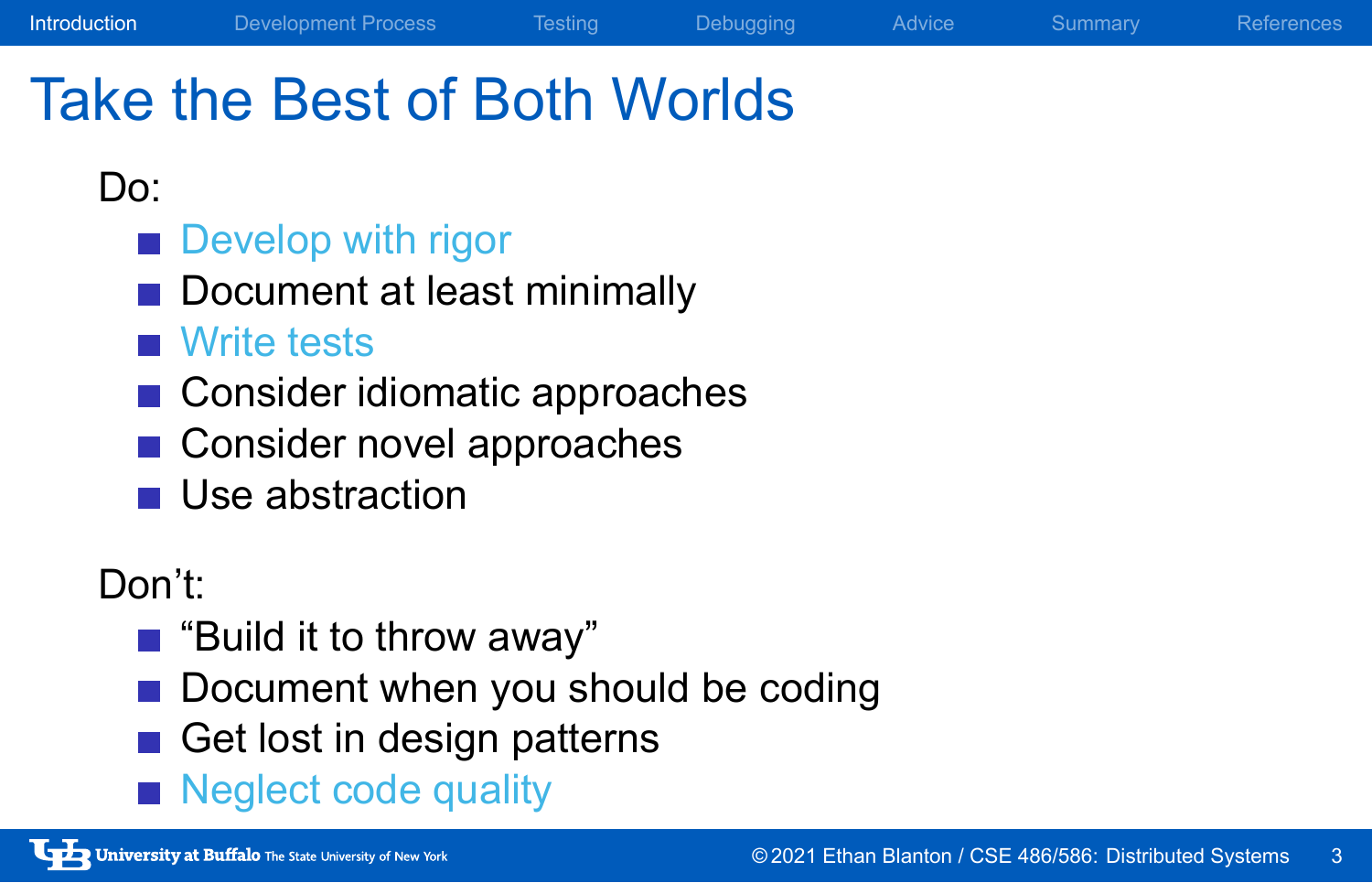## Take the Best of Both Worlds

Introduction Development Process Testing Debugging Advice Summary References

### Do:

- **Develop with rigor**
- Document at least minimally
- **Write tests**
- Consider idiomatic approaches
- Consider novel approaches
- **Use abstraction**

### Don't:

- "Build it to throw away"
- Document when you should be coding
- Get lost in design patterns
- Neglect code quality

University at Buffalo The State University of New York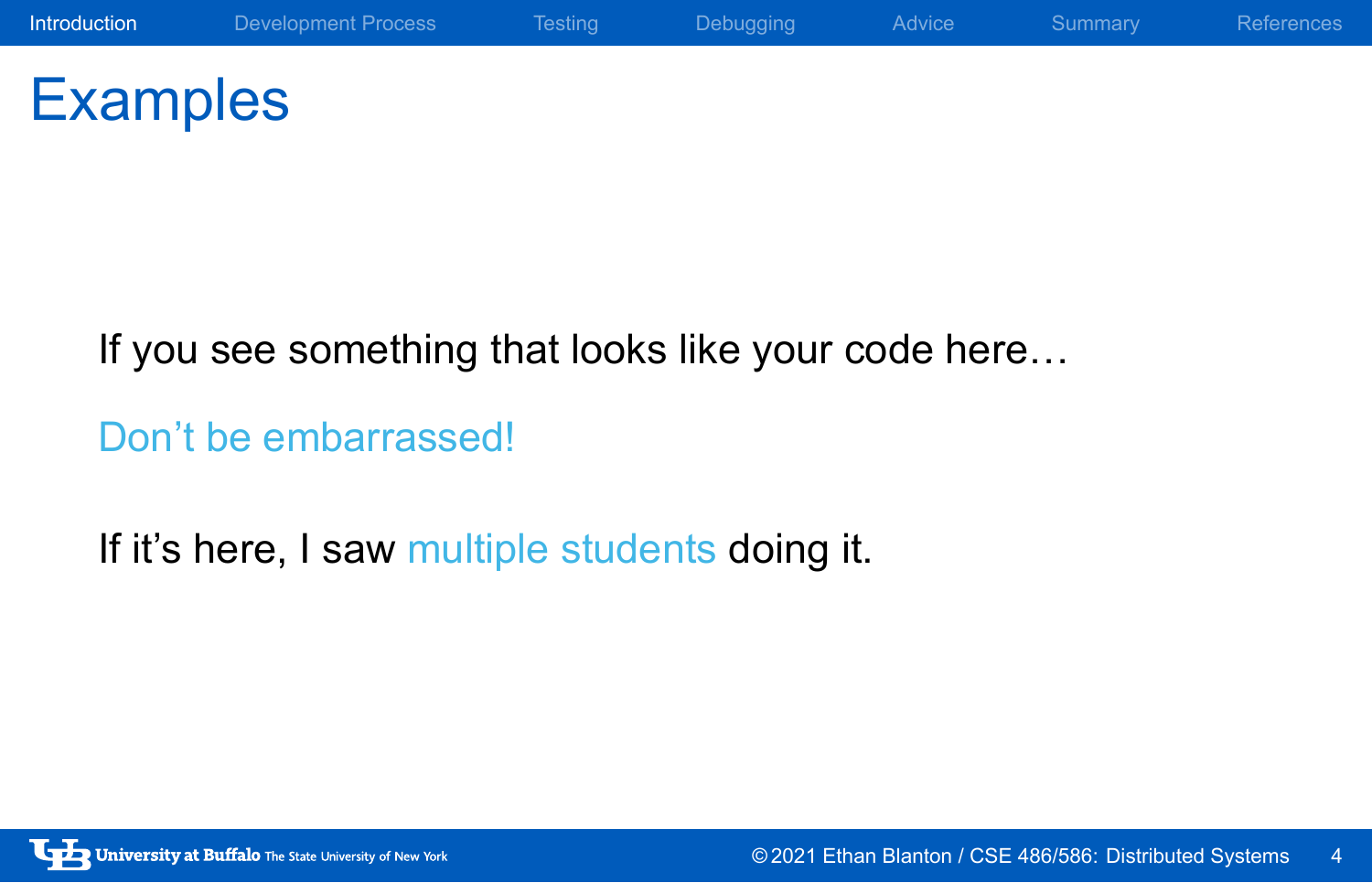# **Examples**

If you see something that looks like your code here…

Don't be embarrassed!

If it's here, I saw multiple students doing it.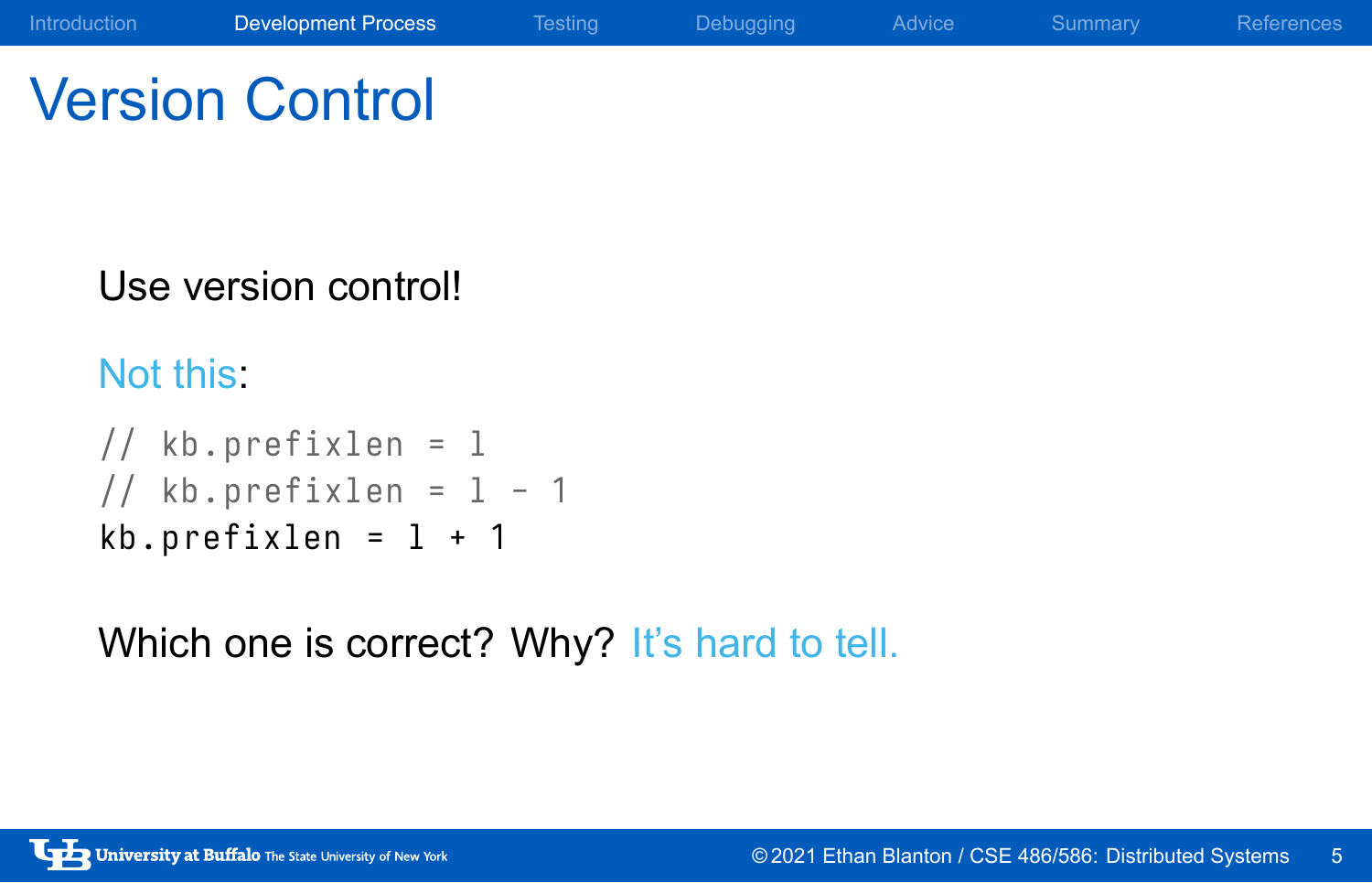Version Control

## Use version control!

### Not this:

```
// kb. prefixlen = l
// kb.prefixlen = 1 - 1kb . prefixlen = l + 1
```
Which one is correct? Why? It's hard to tell.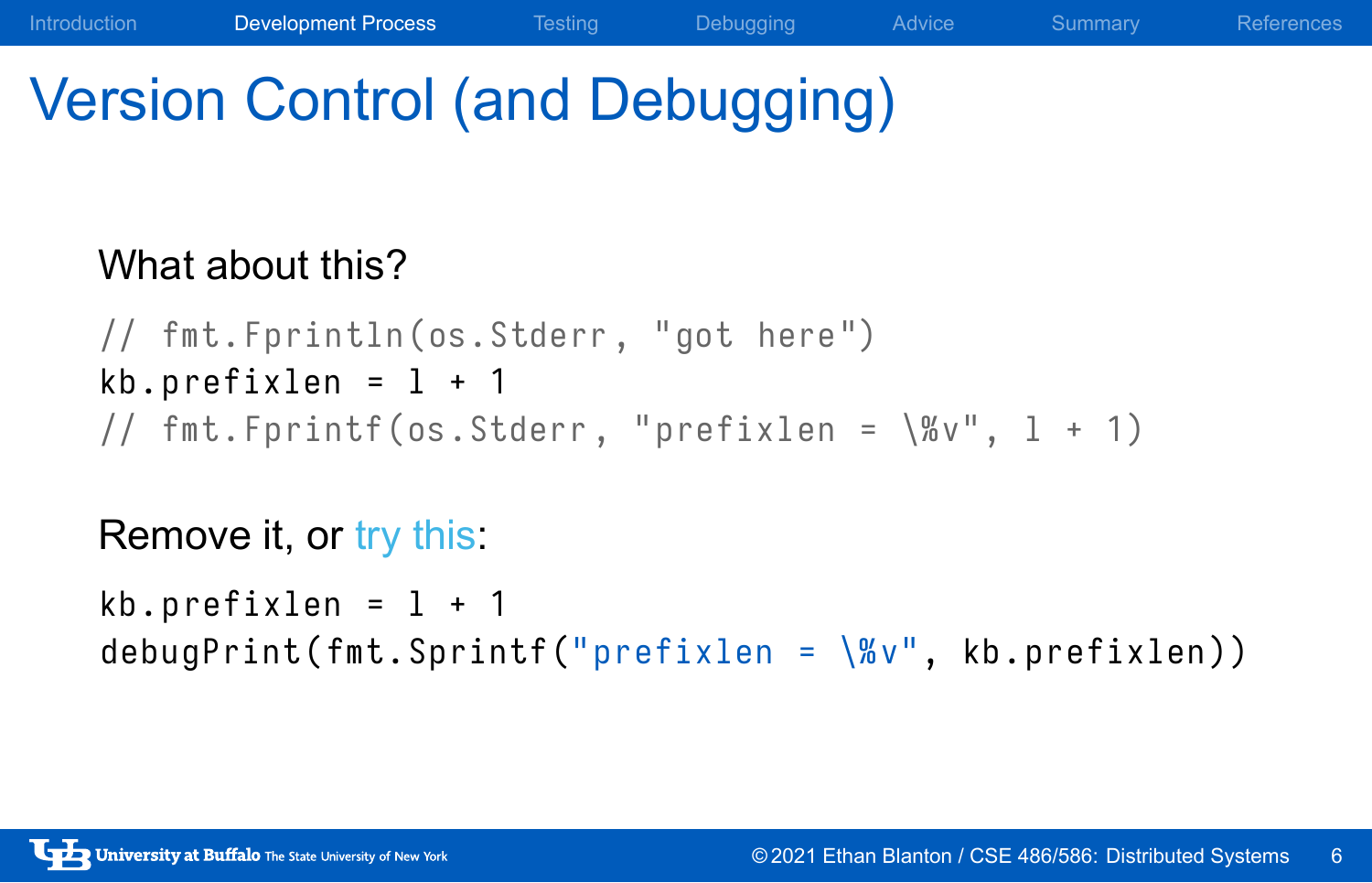## Version Control (and Debugging)

### What about this?

```
// fmt . Fprintln (os. Stderr , "got here ")
kb. prefixlen = 1 + 1// fmt. Fprintf (os. Stderr, "prefixlen = \%v", 1 + 1)
```
Introduction Development Process Testing Debugging Advice Summary References

### Remove it, or try this:

```
kb. prefixlen = 1 + 1debugPrint (fmt. Sprintf ("prefixlen = \aleph v", kb. prefixlen))
```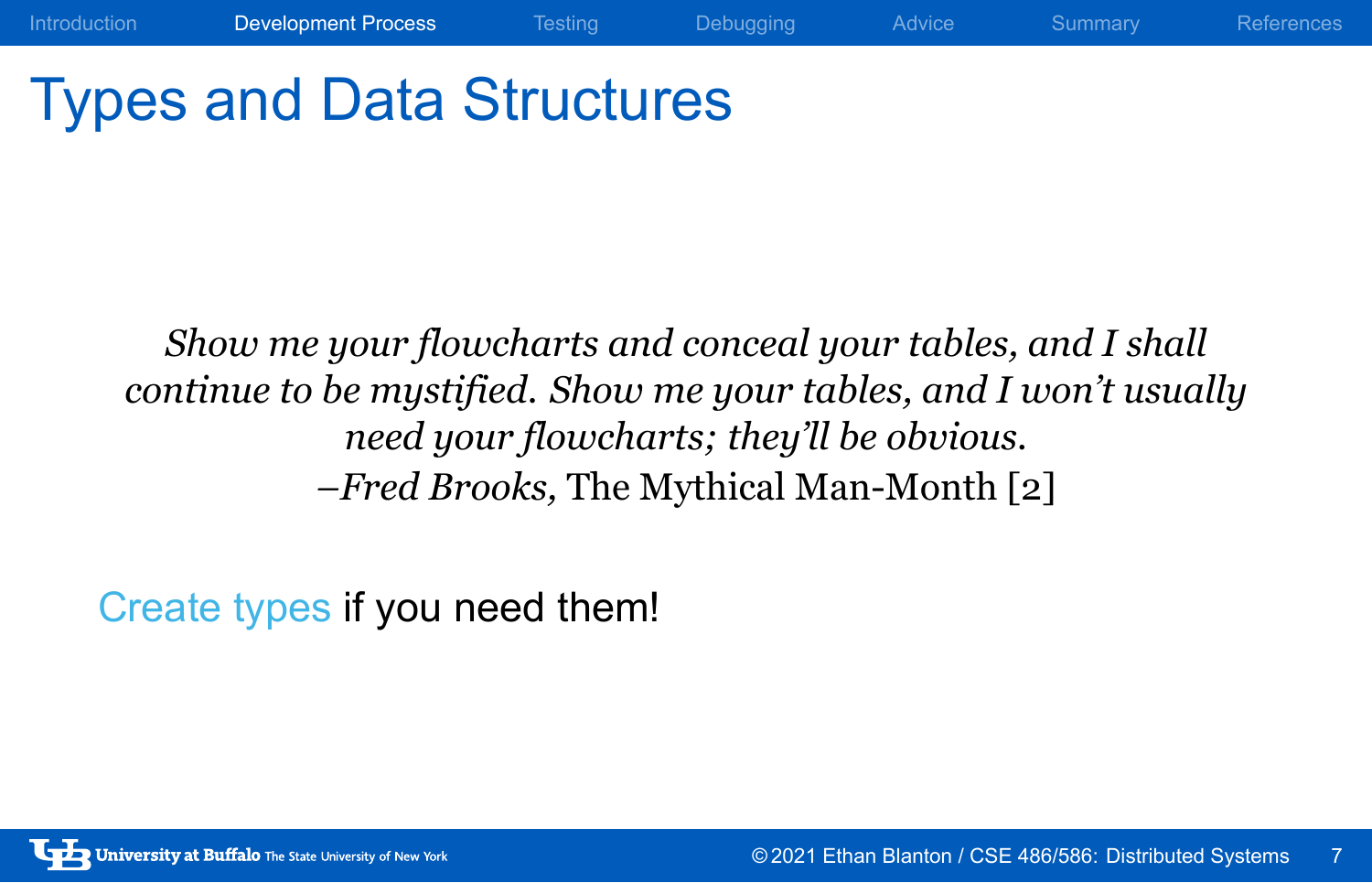# Types and Data Structures

*Show me your flowcharts and conceal your tables, and I shall continue to be mystified. Show me your tables, and I won't usually need your flowcharts; they'll be obvious. –Fred Brooks,* The Mythical Man-Month [2]

Introduction **Development Process** Testing Debugging Advice Summary References

Create types if you need them!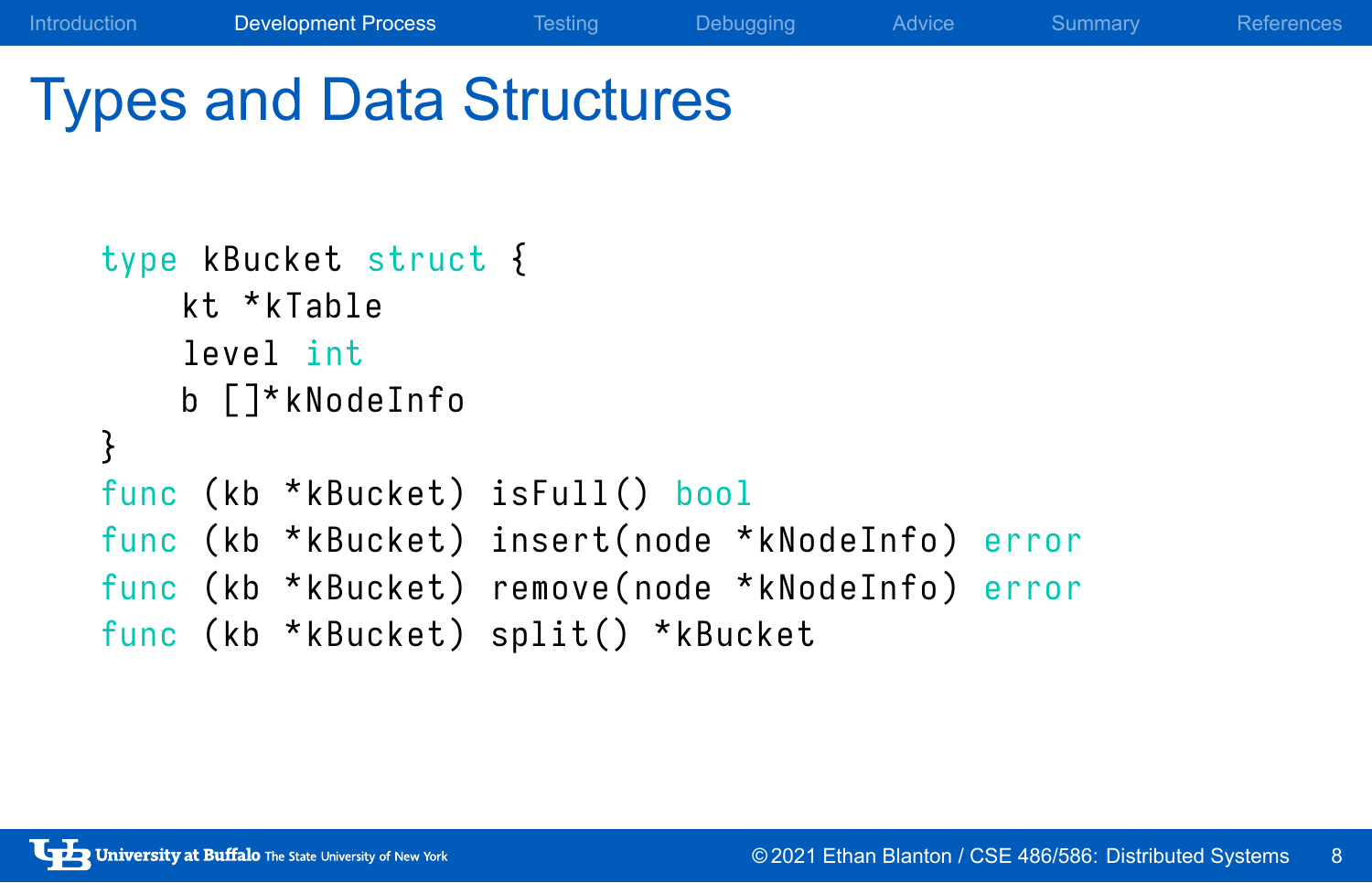# Types and Data Structures

```
type kBucket struct {
    kt * kTable
    level int
    b []* kNodeInfo
}
func (kb *kBucket) isFull() bool
func (kb *kBucket) insert(node *kNodeInfo) error
func (kb *kBucket) remove (node *kNodeInfo) error
func (kb *kBucket) split() *kBucket
```
Introduction Development Process Testing Debugging Advice Summary References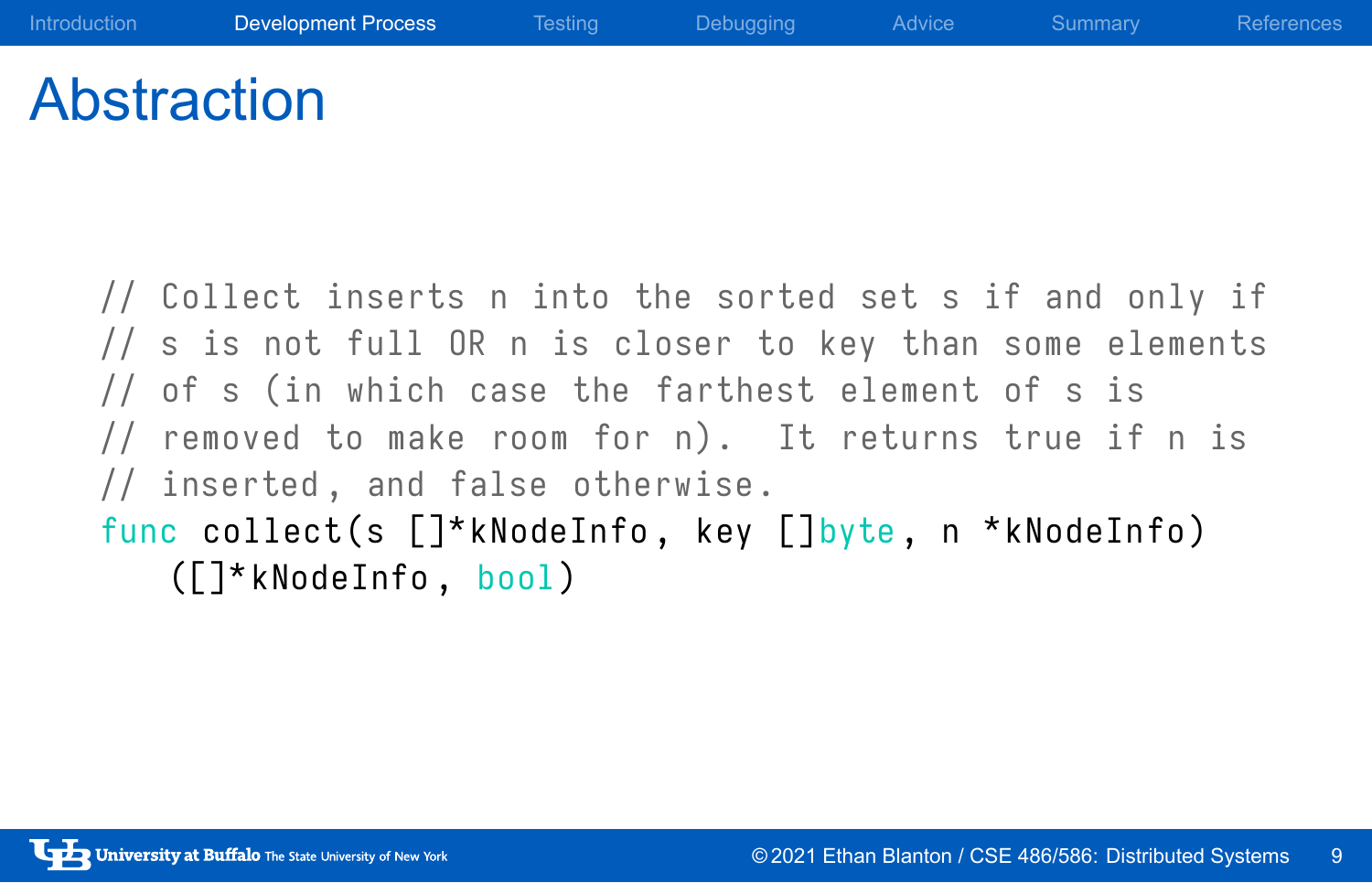## Abstraction

// Collect inserts n into the sorted set s if and only if // s is not full OR n is closer to key than some elements // of s (in which case the farthest element of s is // removed to make room for n). It returns true if n is // inserted, and false otherwise. func collect(s []\*kNodeInfo, key []byte, n \*kNodeInfo)

([]\* kNodeInfo , bool )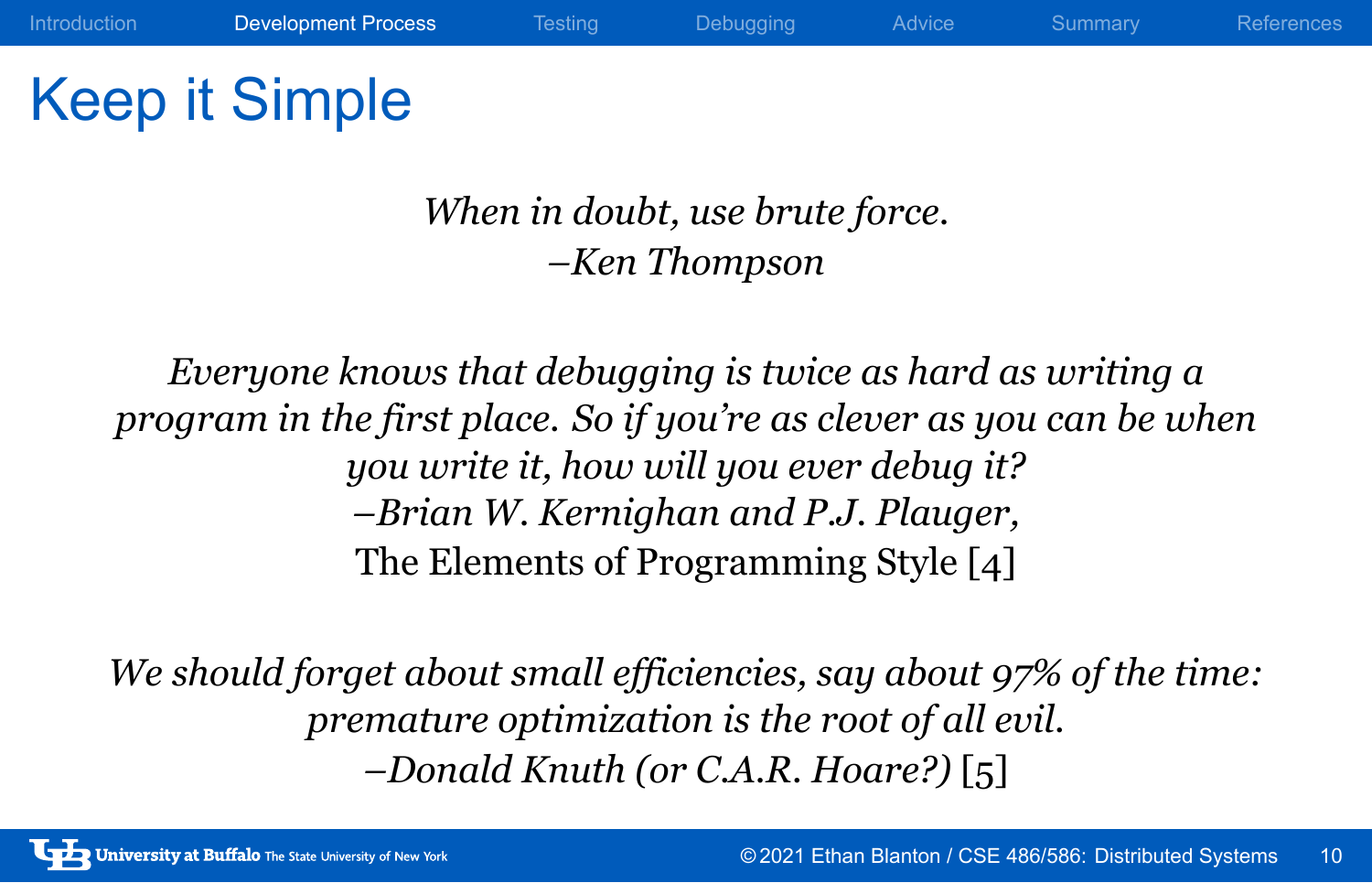Keep it Simple

*When in doubt, use brute force. –Ken Thompson*

*Everyone knows that debugging is twice as hard as writing a program in the first place. So if you're as clever as you can be when you write it, how will you ever debug it? –Brian W. Kernighan and P.J. Plauger,* The Elements of Programming Style [4]

*We should forget about small efficiencies, say about 97% of the time: premature optimization is the root of all evil. –Donald Knuth (or C.A.R. Hoare?)* [5]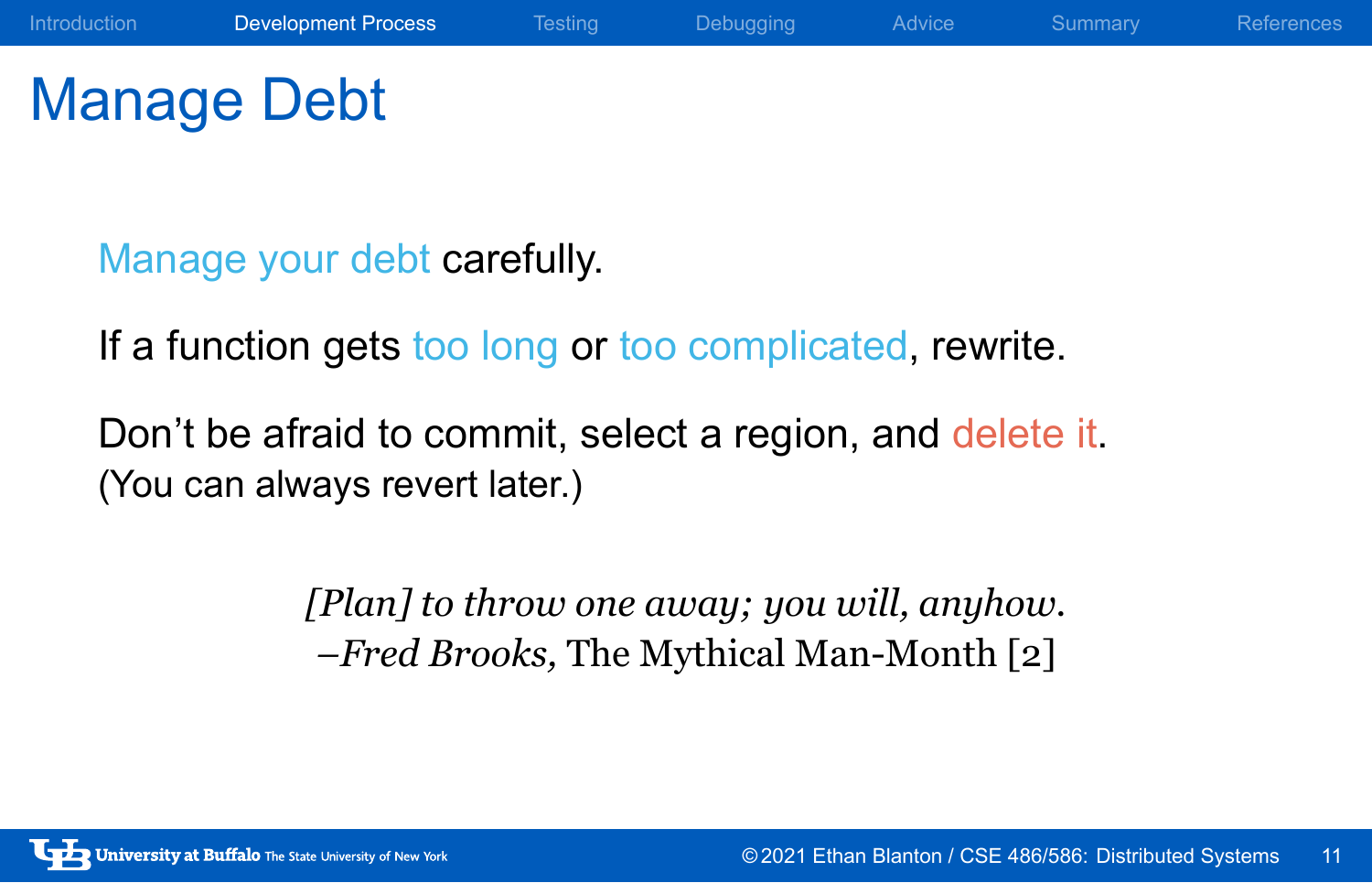Manage Debt

Manage your debt carefully.

If a function gets too long or too complicated, rewrite.

Don't be afraid to commit, select a region, and delete it. (You can always revert later.)

> *[Plan] to throw one away; you will, anyhow. –Fred Brooks,* The Mythical Man-Month [2]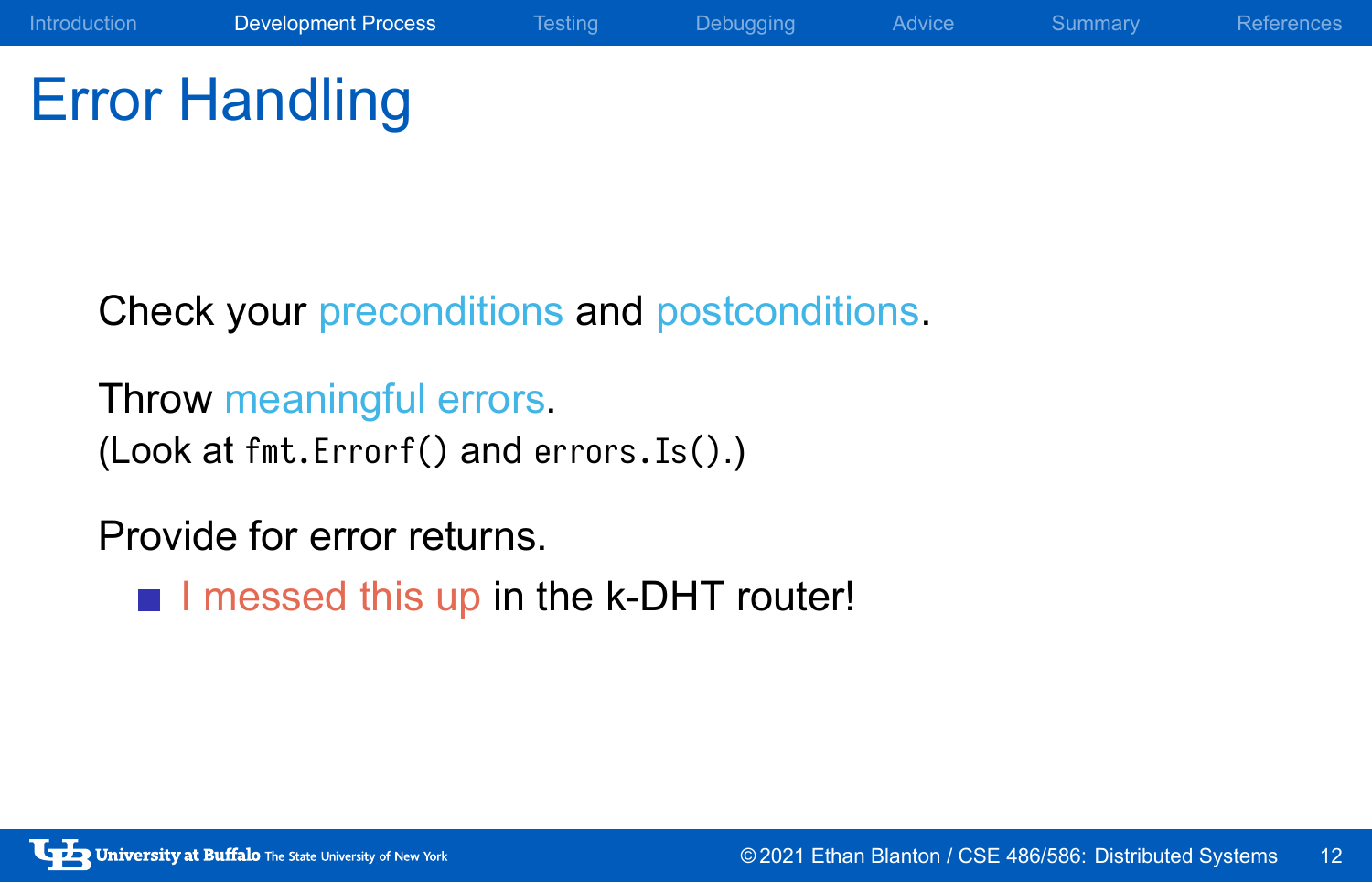# Error Handling

Check your preconditions and postconditions.

Throw meaningful errors. (Look at fmt.Errorf() and errors.Is().)

Provide for error returns.

I messed this up in the k-DHT router!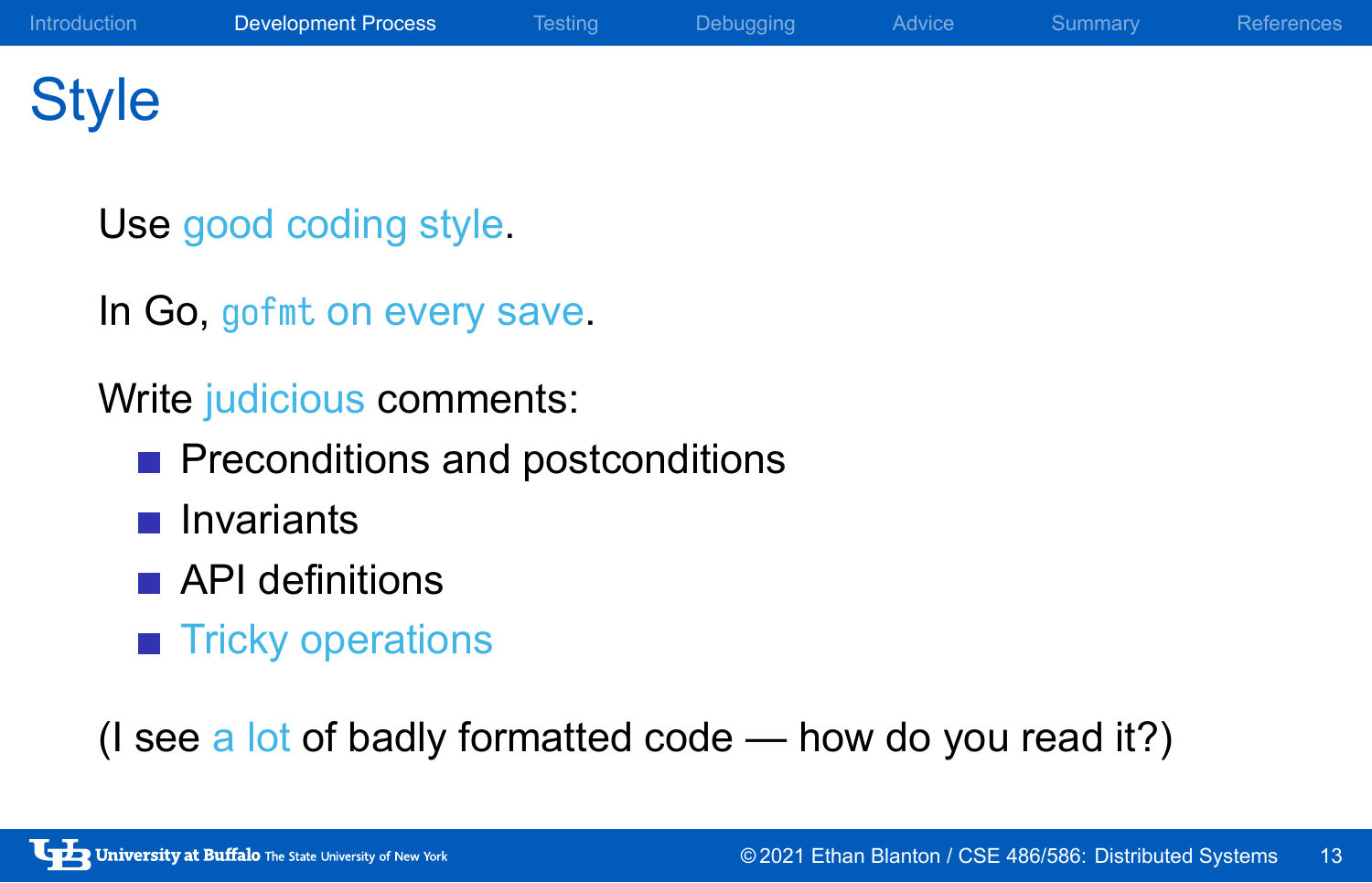# Style

Use good coding style.

In Go, gofmt on every save.

Write judicious comments:

- Preconditions and postconditions
- **n** Invariants
- **API definitions**
- **Tricky operations**

(I see a lot of badly formatted code — how do you read it?)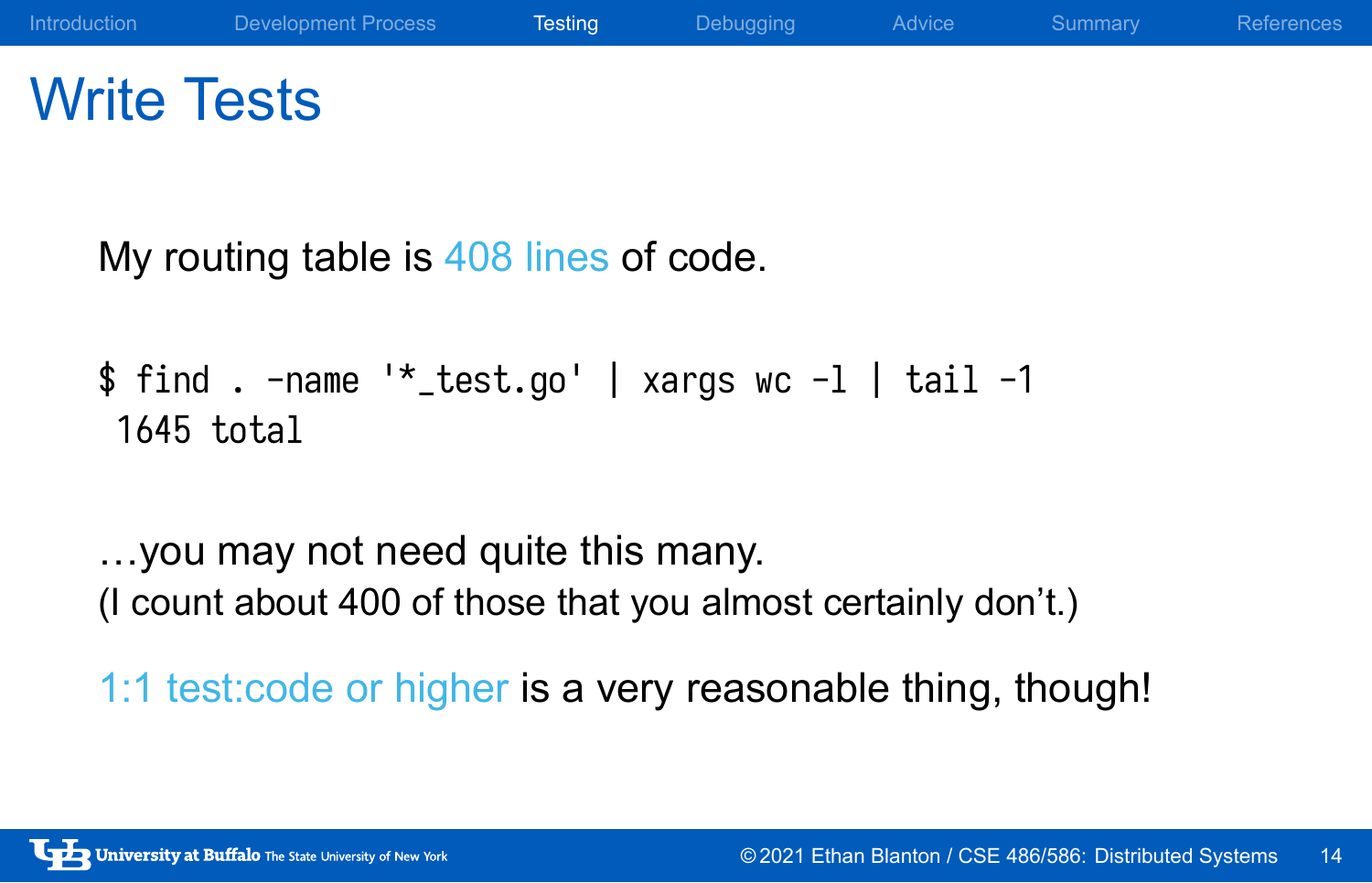## Write Tests

My routing table is 408 lines of code.

```
$ find . -name '*_test.go' | xargs wc -l | tail -1
1645 total
```
…you may not need quite this many. (I count about 400 of those that you almost certainly don't.)

1:1 test:code or higher is a very reasonable thing, though!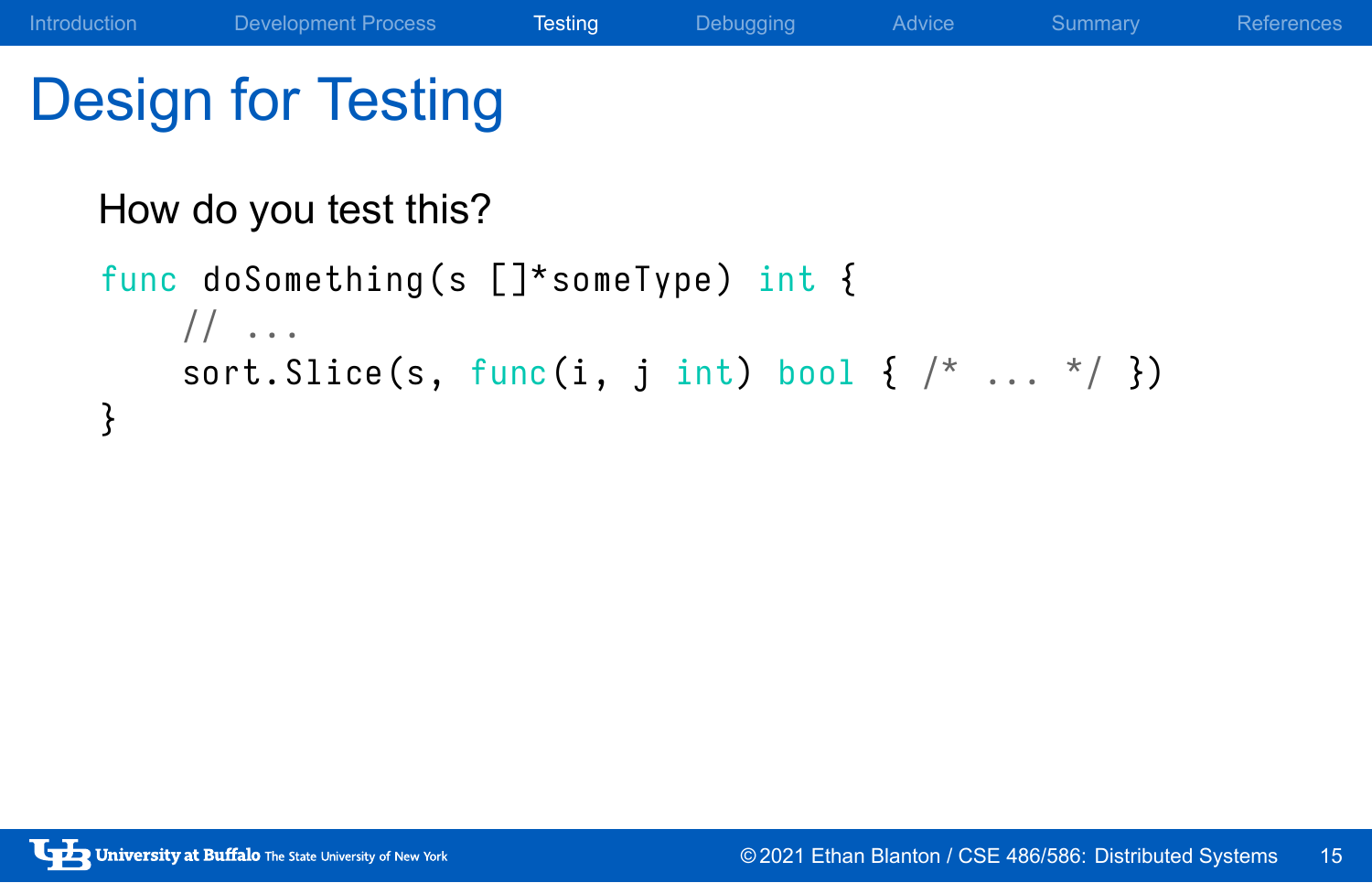# Design for Testing

## How do you test this?

```
func doSomething (s [] *someType) int {
    // \dotssort. Slice (s, func(i, j int) bool { /* ... * / } )}
```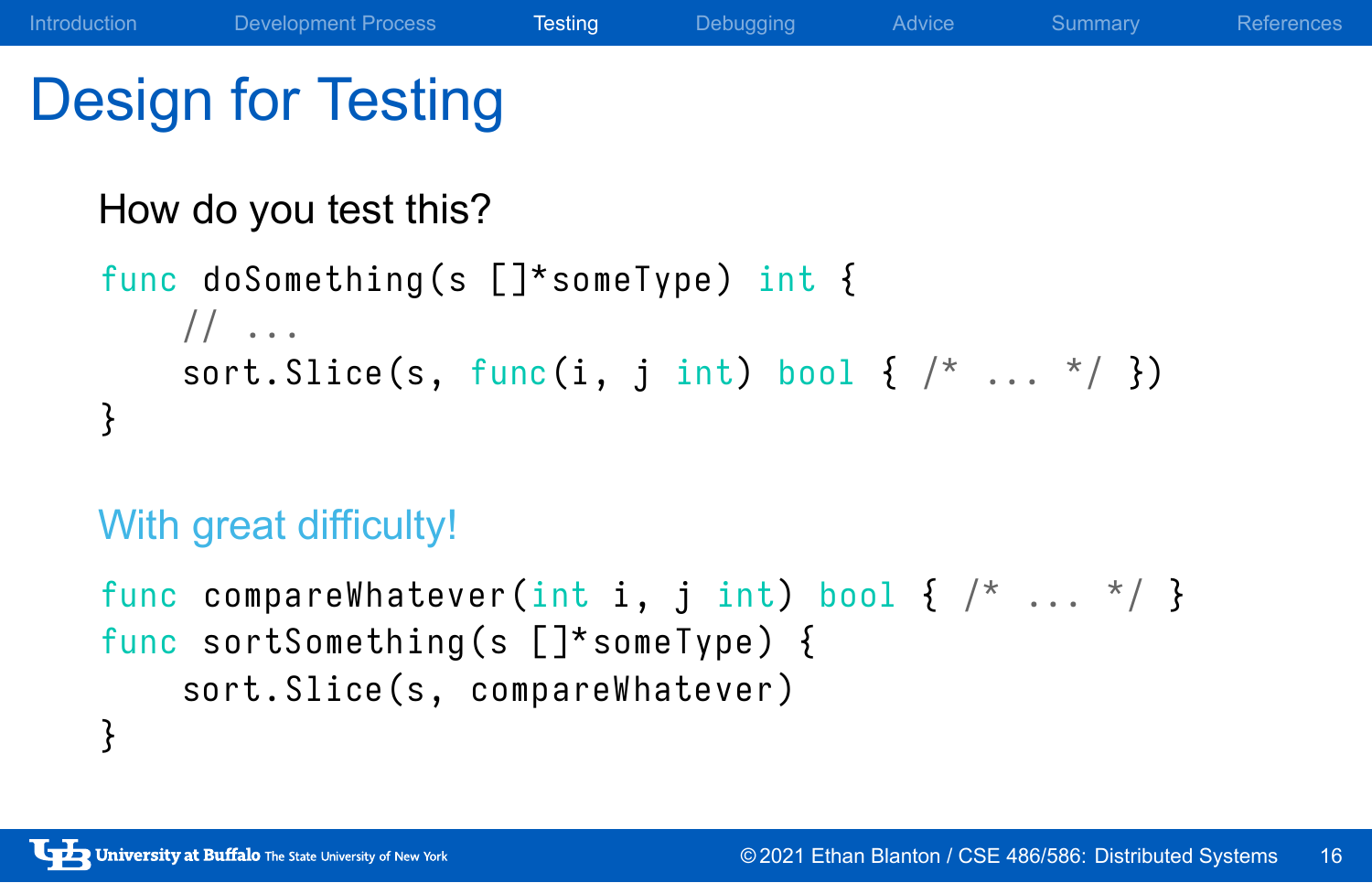# Design for Testing

## How do you test this?

```
func doSomething (s []^*someType) int {
    // \dotssort. Slice (s, func(i, j int) bool { /* ... * / } )}
```
## With great difficulty!

```
func compareWhatever(int i, j int) bool { /* ... */ }
func sortSomething (s [] *someType) {
    sort. Slice (s, compareWhatever)
}
```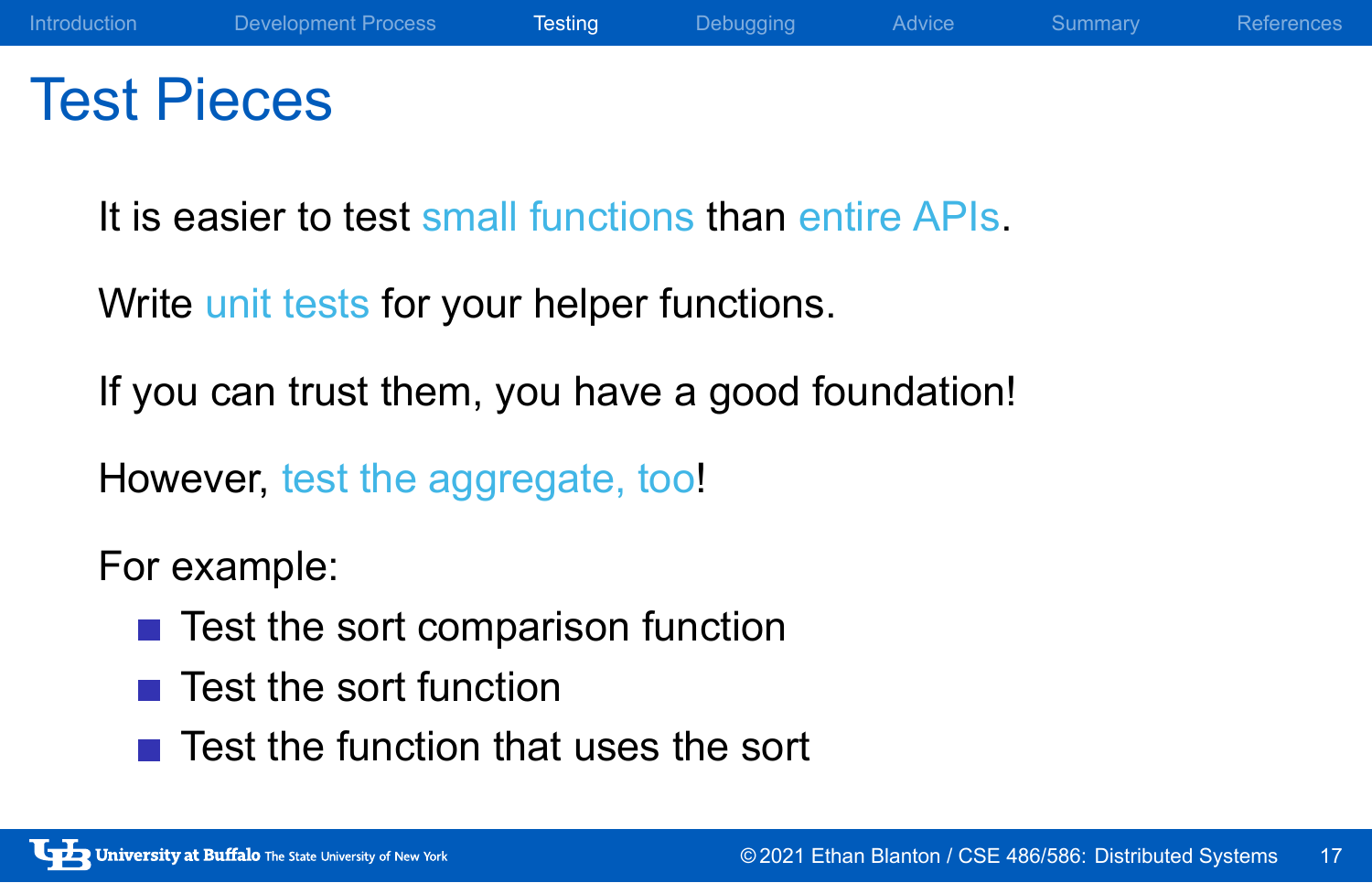## Test Pieces

It is easier to test small functions than entire APIs.

Write unit tests for your helper functions.

If you can trust them, you have a good foundation!

However, test the aggregate, too!

### For example:

- $\blacksquare$  Test the sort comparison function
- $\blacksquare$  Test the sort function
- $\blacksquare$  Test the function that uses the sort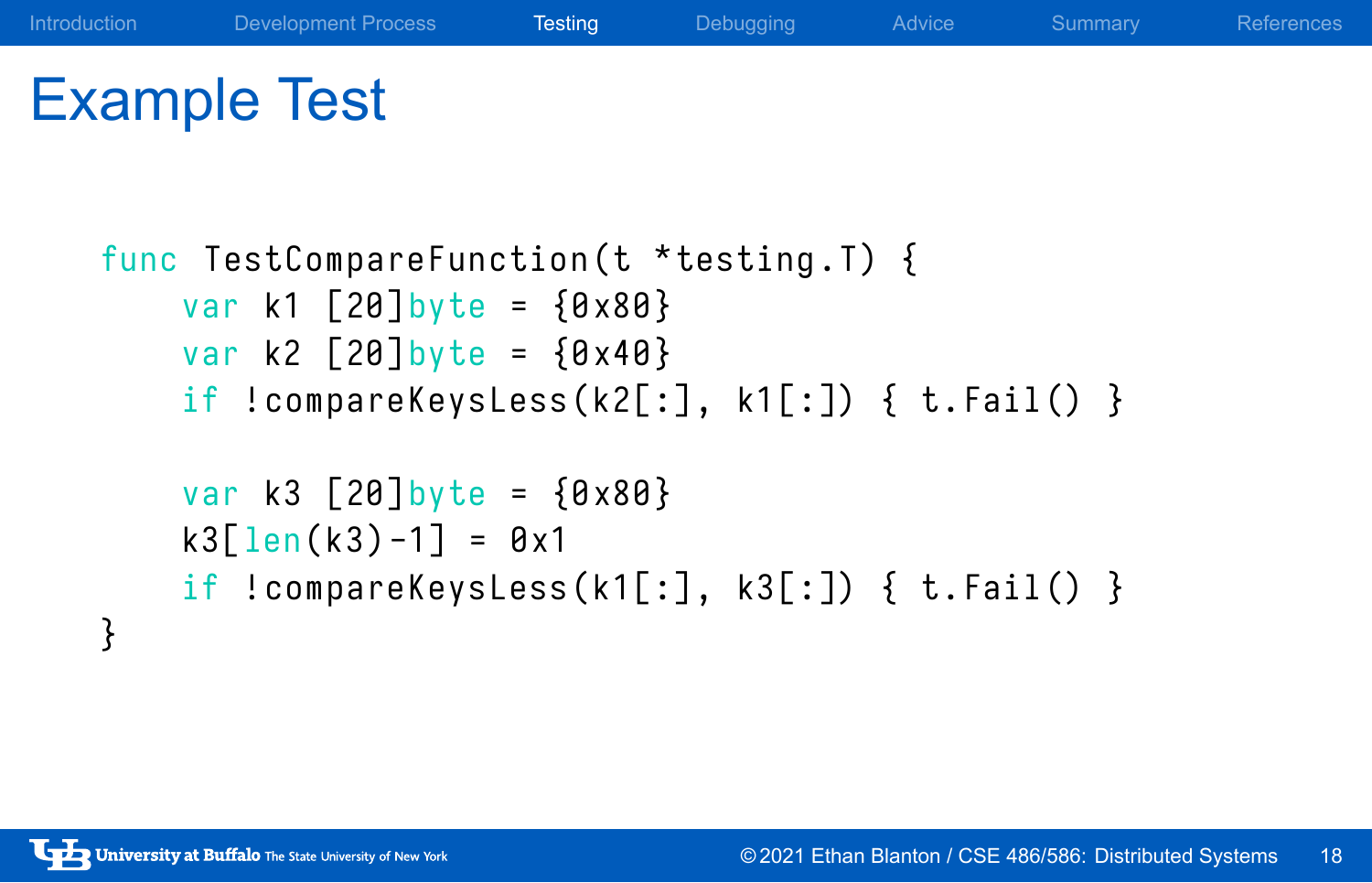# Example Test

```
func TestCompareFunction (t *testing.T) {
   var k1 [20] byte = {0 x80 }
    var k2 [20] byte = {0 x40 }
   if !compareKeysLess(k2[:], k1[:]) { t.Fail() }
   var k3 [20] byte = {0 x80 }
    k3[len(k3) -1] = 0x1if !compareKeysLess(k1[:], k3[:]) { t.Fail() }}
```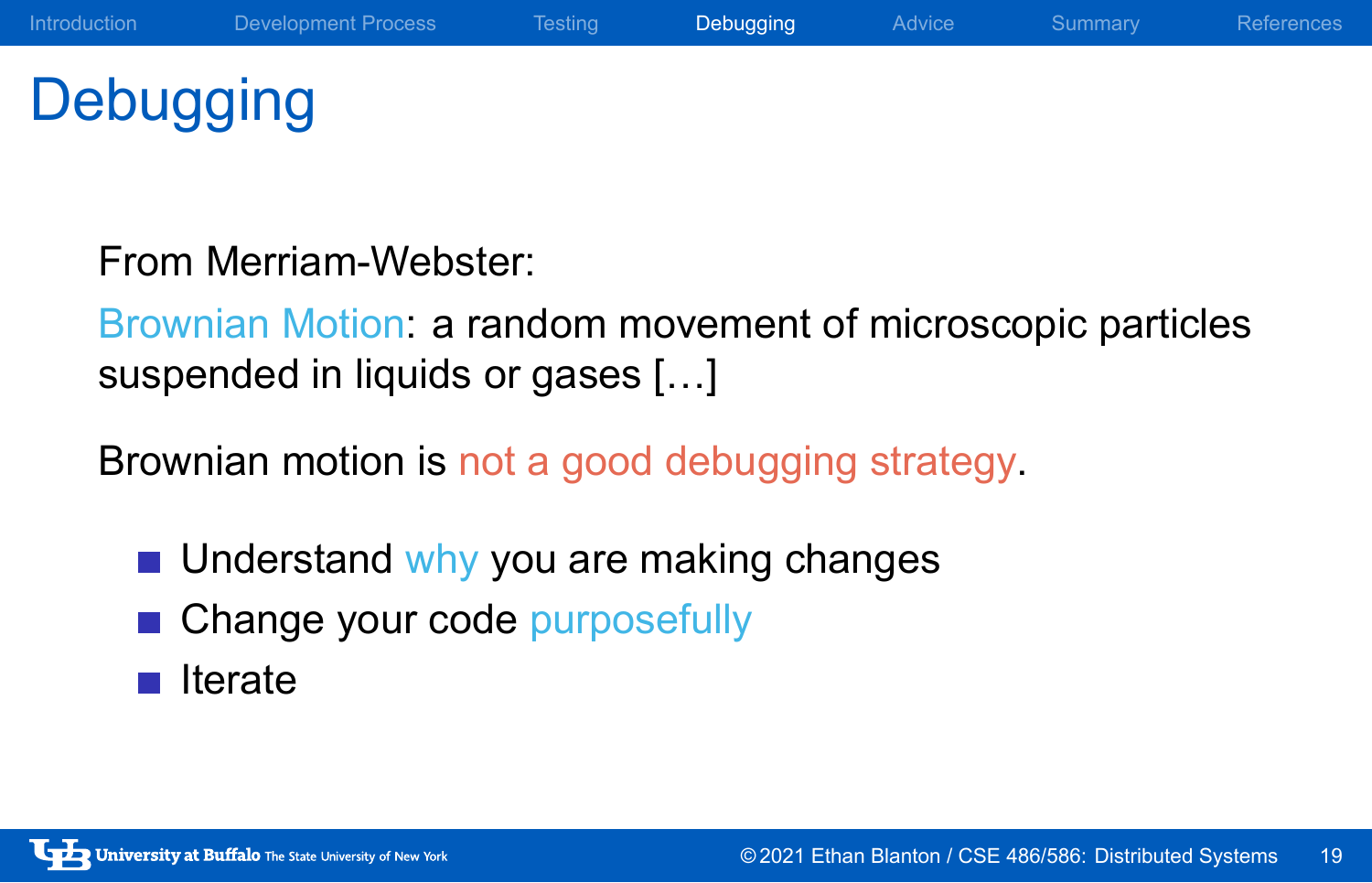**Debugging** 

From Merriam-Webster:

Brownian Motion: a random movement of microscopic particles suspended in liquids or gases […]

Brownian motion is not a good debugging strategy.

- **Understand why you are making changes**
- Change your code purposefully
- $\blacksquare$  Iterate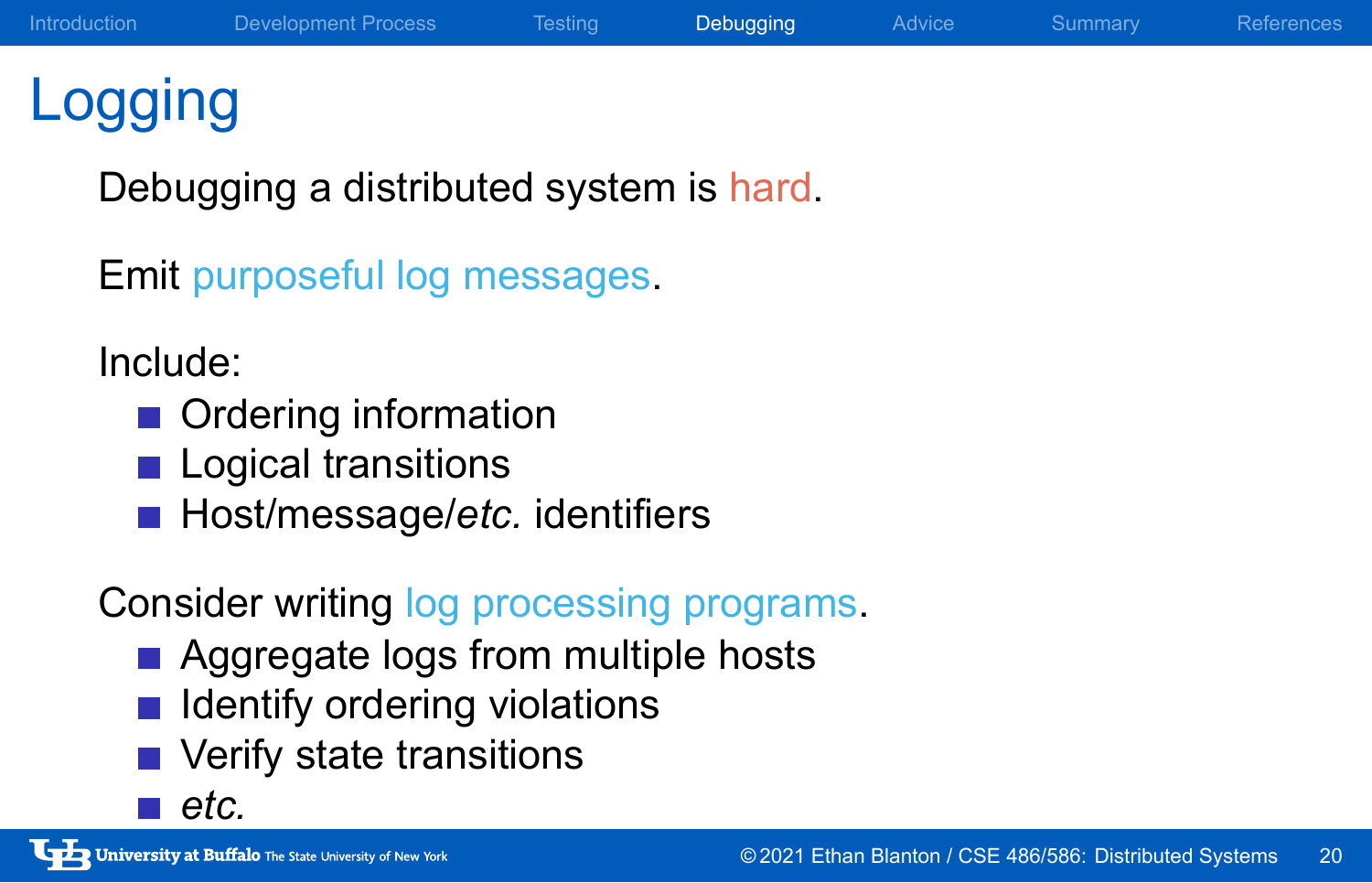## Logging

Debugging a distributed system is hard.

Emit purposeful log messages.

### Include:

- **Ordering information**
- **Logical transitions**
- **Host/message/etc.** identifiers

## Consider writing log processing programs.

- **Aggregate logs from multiple hosts**
- $\blacksquare$  Identify ordering violations
- **verify state transitions**
- *etc.*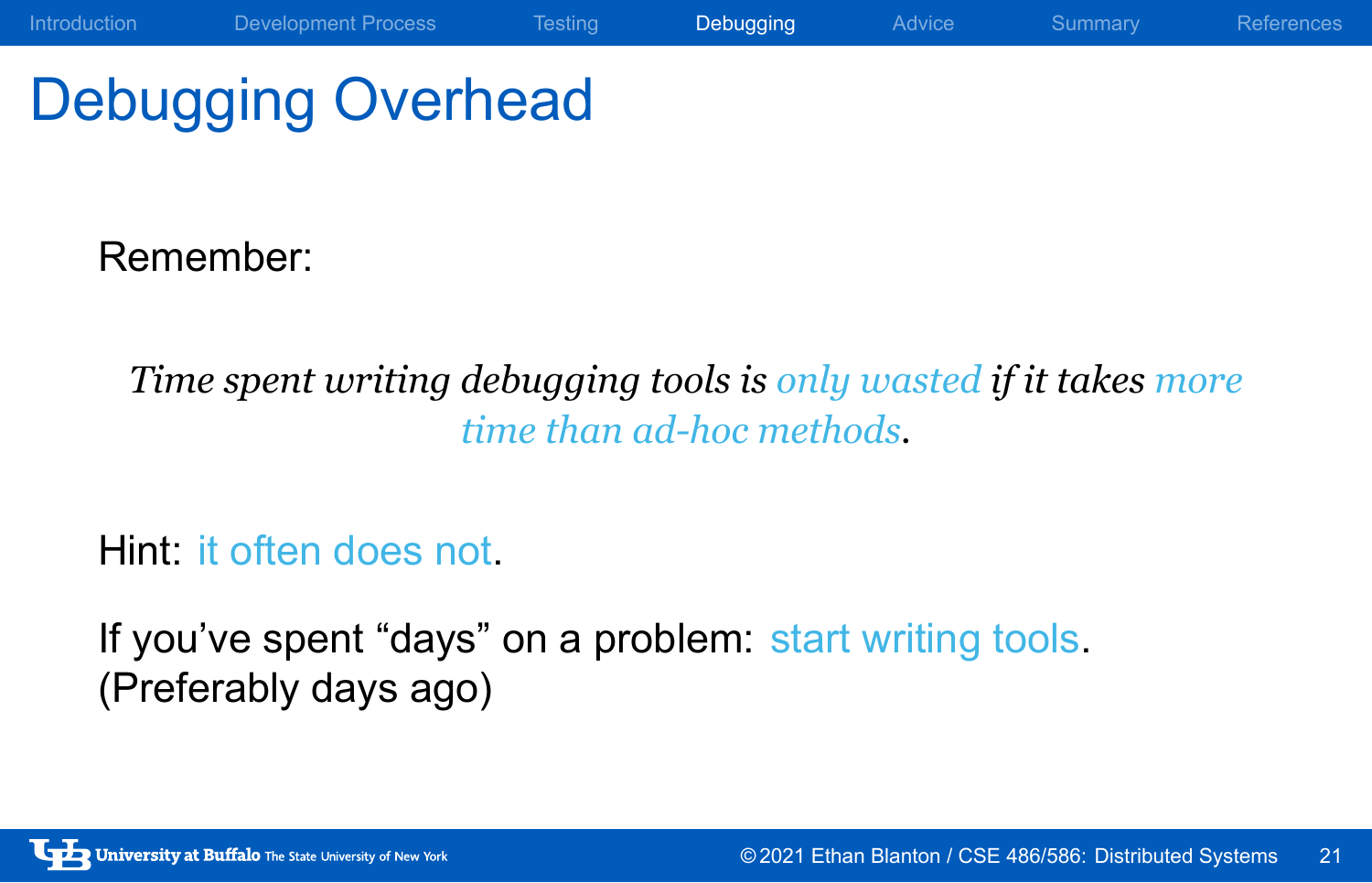# Debugging Overhead

Remember:

*Time spent writing debugging tools is only wasted if it takes more time than ad-hoc methods.*

Introduction Development Process Testing Debugging Advice Summary References

Hint: it often does not.

If you've spent "days" on a problem: start writing tools. (Preferably days ago)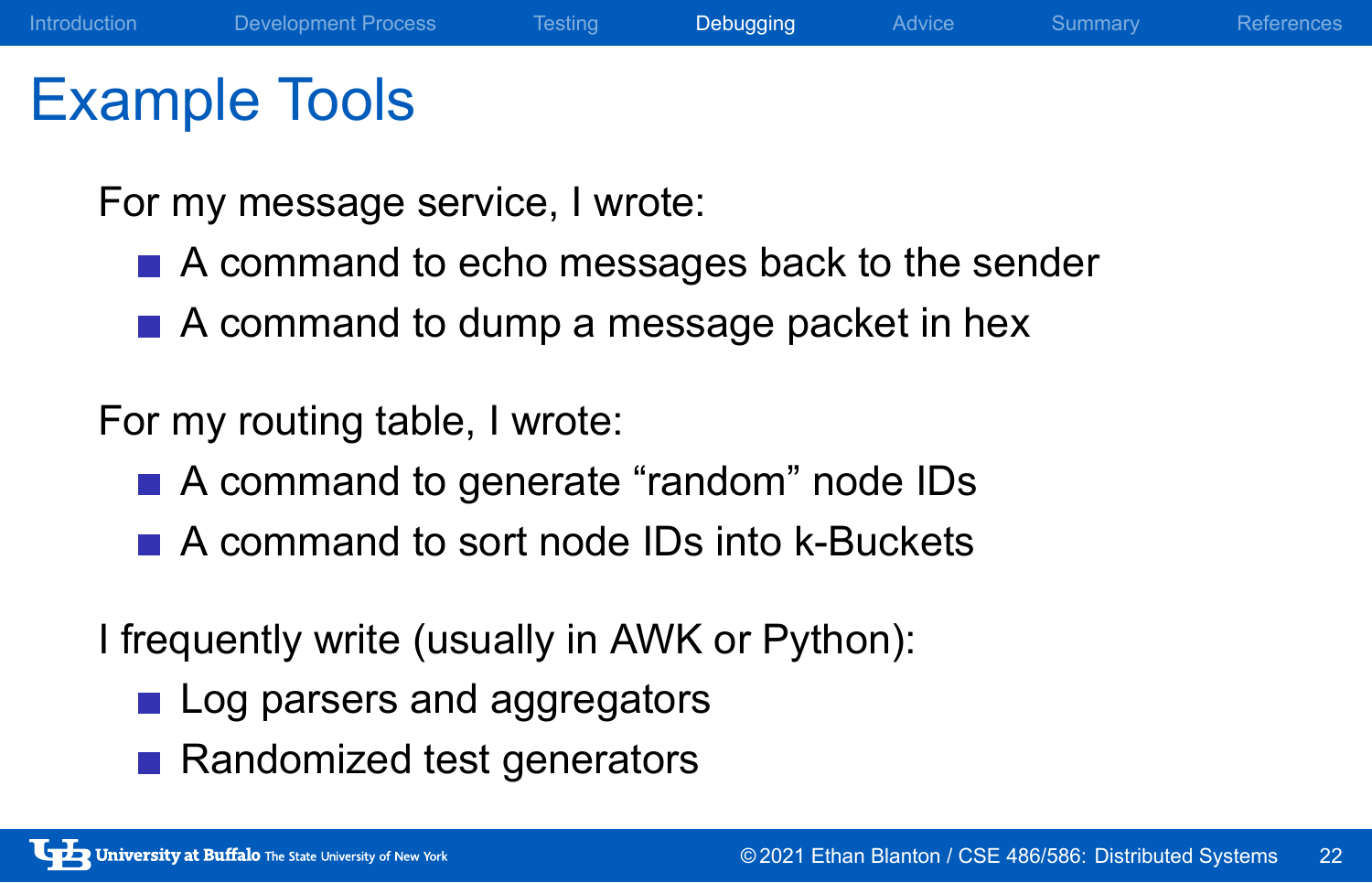## Example Tools

For my message service, I wrote:

- A command to echo messages back to the sender
- A command to dump a message packet in hex

For my routing table, I wrote:

- A command to generate "random" node IDs
- A command to sort node IDs into k-Buckets

I frequently write (usually in AWK or Python):

- Log parsers and aggregators
- Randomized test generators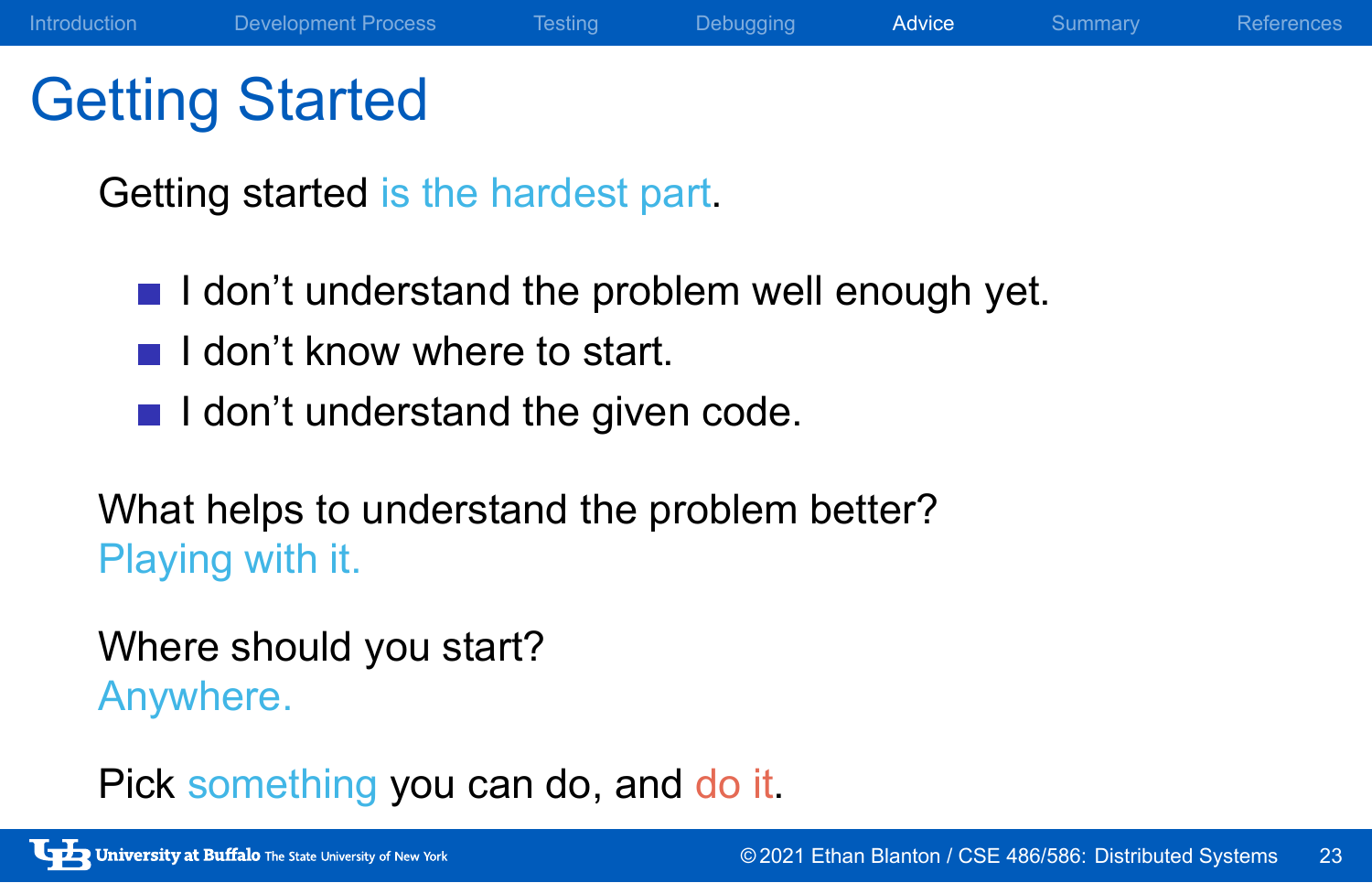## Getting Started

Getting started is the hardest part.

- $\blacksquare$  I don't understand the problem well enough yet.
- $\blacksquare$  I don't know where to start.
- $\blacksquare$  I don't understand the given code.

What helps to understand the problem better? Playing with it.

Where should you start? Anywhere.

Pick something you can do, and do it.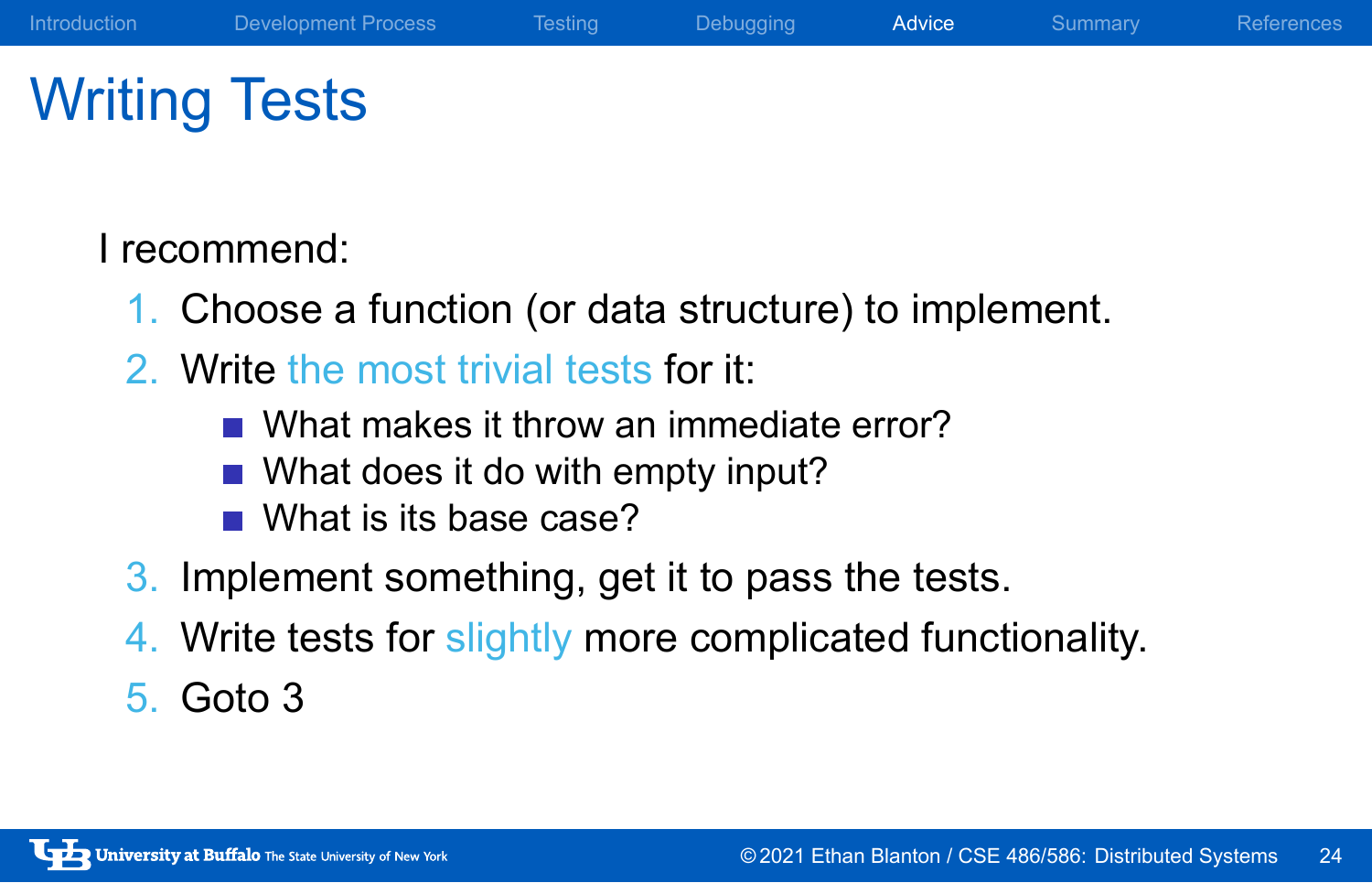## Writing Tests

I recommend:

- 1. Choose a function (or data structure) to implement.
- 2. Write the most trivial tests for it:
	- What makes it throw an immediate error?
	- What does it do with empty input?
	- What is its base case?
- 3. Implement something, get it to pass the tests.
- 4. Write tests for slightly more complicated functionality.
- 5. Goto 3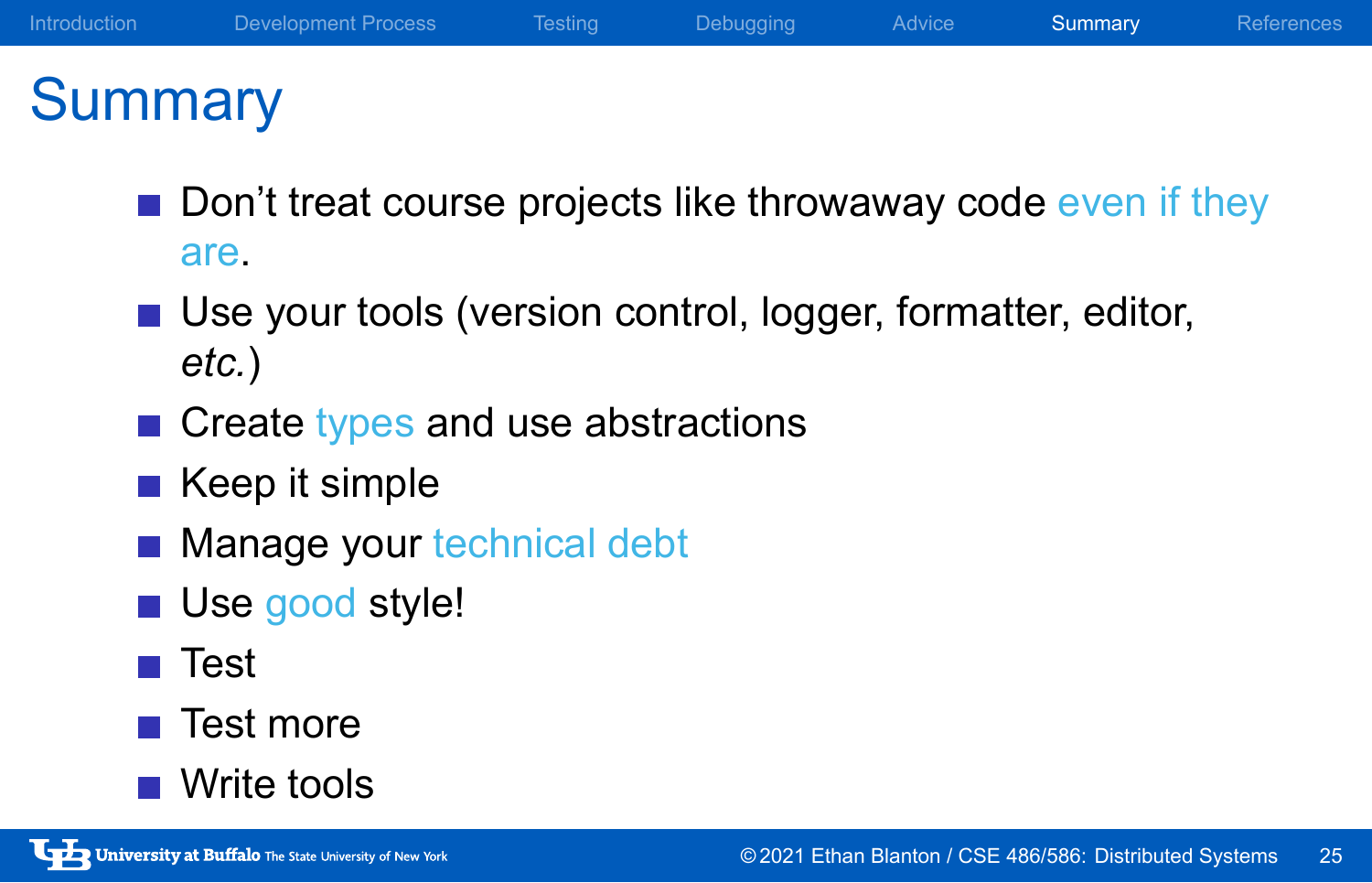# **Summary**

- Don't treat course projects like throwaway code even if they are.
- Use your tools (version control, logger, formatter, editor, *etc.*)
- Create types and use abstractions
- $\blacksquare$  Keep it simple
- **Manage your technical debt**
- Use good style!
- **■** Test
- $\blacksquare$  Test more
- Write tools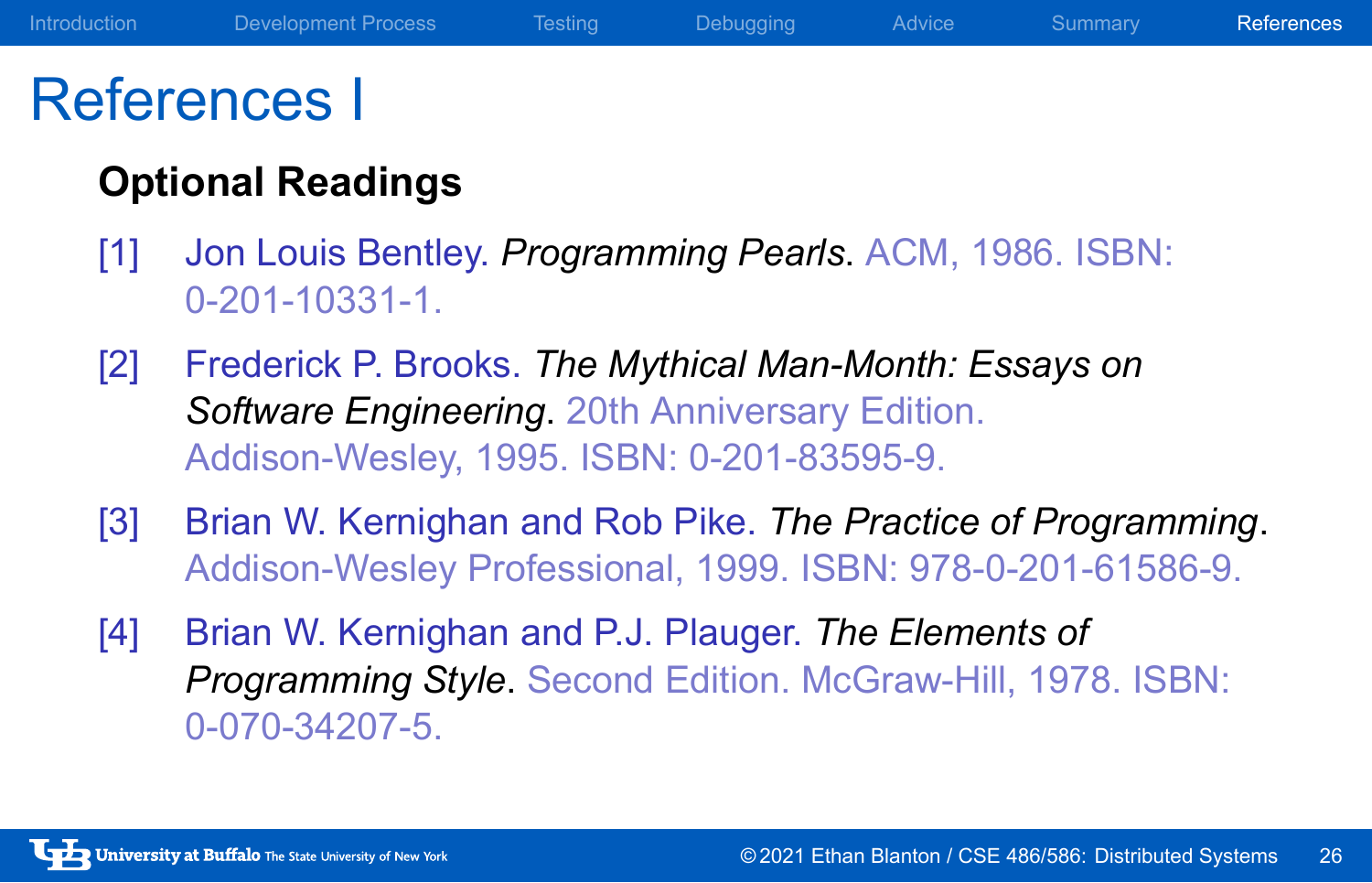## References I

### **Optional Readings**

- [1] Jon Louis Bentley. *Programming Pearls*. ACM, 1986. ISBN: 0-201-10331-1.
- [2] Frederick P. Brooks. *The Mythical Man-Month: Essays on Software Engineering*. 20th Anniversary Edition. Addison-Wesley, 1995. ISBN: 0-201-83595-9.
- [3] Brian W. Kernighan and Rob Pike. *The Practice of Programming*. Addison-Wesley Professional, 1999. ISBN: 978-0-201-61586-9.
- [4] Brian W. Kernighan and P.J. Plauger. *The Elements of Programming Style*. Second Edition. McGraw-Hill, 1978. ISBN: 0-070-34207-5.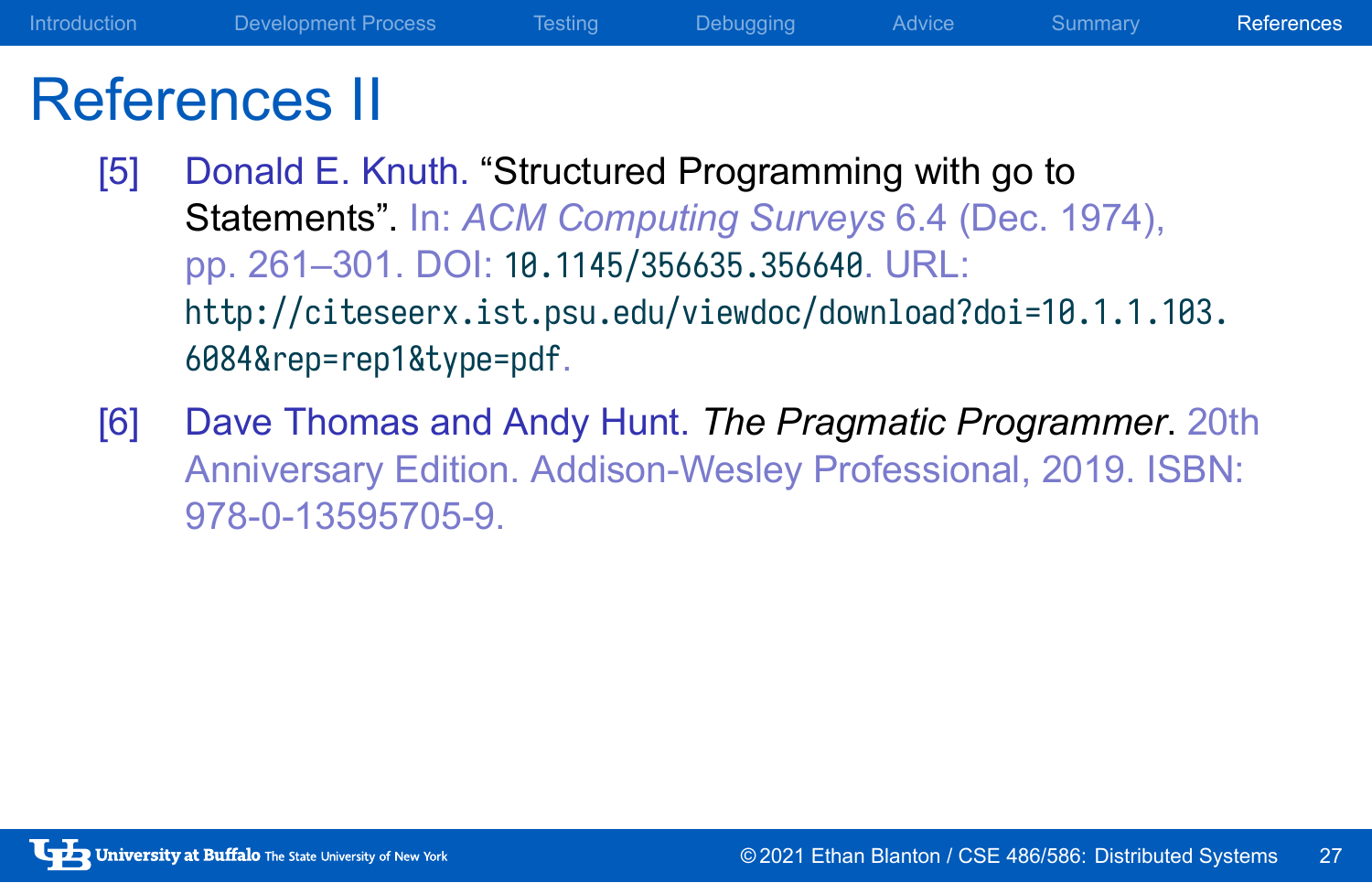## References II

- [5] Donald E. Knuth. "Structured Programming with go to Statements". In: *ACM Computing Surveys* 6.4 (Dec. 1974), pp. 261–301. DOI: 10.1145/356635.356640. URL: http://citeseerx.ist.psu.edu/viewdoc/download?doi=10.1.1.103. 6084&rep=rep1&type=pdf.
- [6] Dave Thomas and Andy Hunt. *The Pragmatic Programmer*. 20th Anniversary Edition. Addison-Wesley Professional, 2019. ISBN: 978-0-13595705-9.